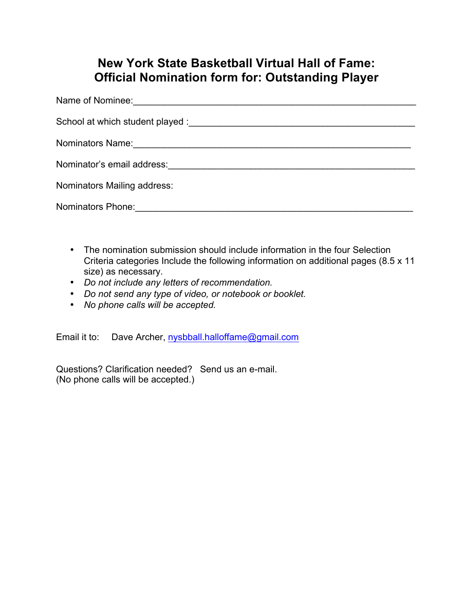## **New York State Basketball Virtual Hall of Fame: Official Nomination form for: Outstanding Player**

| Nominators Mailing address:                                                                                    |
|----------------------------------------------------------------------------------------------------------------|
| Nominators Phone: 2008. 2009. 2010. 2010. 2010. 2010. 2010. 2010. 2010. 2010. 2010. 2010. 2010. 2010. 2010. 20 |

- The nomination submission should include information in the four Selection Criteria categories Include the following information on additional pages (8.5 x 11 size) as necessary.
- *Do not include any letters of recommendation.*
- *Do not send any type of video, or notebook or booklet.*
- *No phone calls will be accepted.*

Email it to: Dave Archer, nysbball.halloffame@gmail.com

Questions? Clarification needed? Send us an e-mail. (No phone calls will be accepted.)